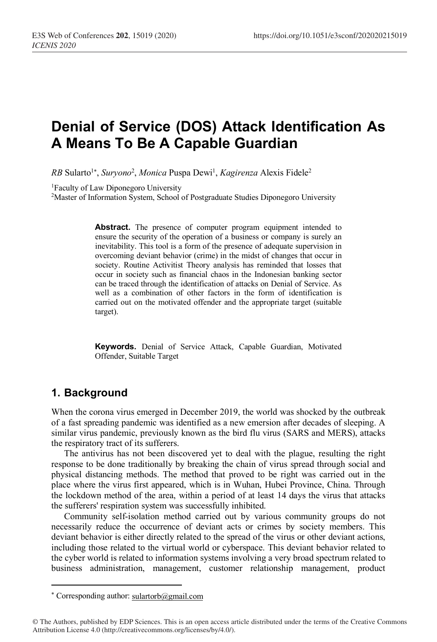# **Denial of Service (DOS) Attack Identification As A Means To Be A Capable Guardian**

RB Sularto<sup>1\*</sup>, *Suryono<sup>2</sup>, Monica* Puspa Dewi<sup>1</sup>, *Kagirenza* Alexis Fidele<sup>2</sup>

1Faculty of Law Diponegoro University

2Master of Information System, School of Postgraduate Studies Diponegoro University

**Abstract.** The presence of computer program equipment intended to ensure the security of the operation of a business or company is surely an inevitability. This tool is a form of the presence of adequate supervision in overcoming deviant behavior (crime) in the midst of changes that occur in society. Routine Activitist Theory analysis has reminded that losses that occur in society such as financial chaos in the Indonesian banking sector can be traced through the identification of attacks on Denial of Service. As well as a combination of other factors in the form of identification is carried out on the motivated offender and the appropriate target (suitable target).

**Keywords.** Denial of Service Attack, Capable Guardian, Motivated Offender, Suitable Target

# **1. Background**

 $\overline{\phantom{a}}$ 

When the corona virus emerged in December 2019, the world was shocked by the outbreak of a fast spreading pandemic was identified as a new emersion after decades of sleeping. A similar virus pandemic, previously known as the bird flu virus (SARS and MERS), attacks the respiratory tract of its sufferers.

The antivirus has not been discovered yet to deal with the plague, resulting the right response to be done traditionally by breaking the chain of virus spread through social and physical distancing methods. The method that proved to be right was carried out in the place where the virus first appeared, which is in Wuhan, Hubei Province, China. Through the lockdown method of the area, within a period of at least 14 days the virus that attacks the sufferers' respiration system was successfully inhibited.

Community self-isolation method carried out by various community groups do not necessarily reduce the occurrence of deviant acts or crimes by society members. This deviant behavior is either directly related to the spread of the virus or other deviant actions, including those related to the virtual world or cyberspace. This deviant behavior related to the cyber world is related to information systems involving a very broad spectrum related to business administration, management, customer relationship management, product

<sup>\*</sup> Corresponding author: sulartorb@gmail.com

<sup>©</sup> The Authors, published by EDP Sciences. This is an open access article distributed under the terms of the Creative Commons Attribution License 4.0 (http://creativecommons.org/licenses/by/4.0/).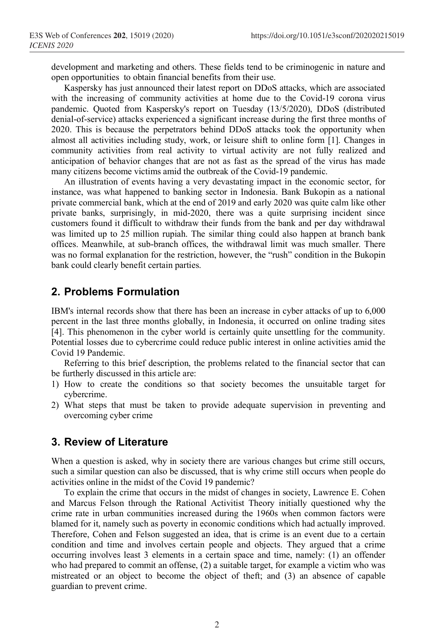development and marketing and others. These fields tend to be criminogenic in nature and open opportunities to obtain financial benefits from their use.

Kaspersky has just announced their latest report on DDoS attacks, which are associated with the increasing of community activities at home due to the Covid-19 corona virus pandemic. Quoted from Kaspersky's report on Tuesday (13/5/2020), DDoS (distributed denial-of-service) attacks experienced a significant increase during the first three months of 2020. This is because the perpetrators behind DDoS attacks took the opportunity when almost all activities including study, work, or leisure shift to online form [1]. Changes in community activities from real activity to virtual activity are not fully realized and anticipation of behavior changes that are not as fast as the spread of the virus has made many citizens become victims amid the outbreak of the Covid-19 pandemic.

An illustration of events having a very devastating impact in the economic sector, for instance, was what happened to banking sector in Indonesia. Bank Bukopin as a national private commercial bank, which at the end of 2019 and early 2020 was quite calm like other private banks, surprisingly, in mid-2020, there was a quite surprising incident since customers found it difficult to withdraw their funds from the bank and per day withdrawal was limited up to 25 million rupiah. The similar thing could also happen at branch bank offices. Meanwhile, at sub-branch offices, the withdrawal limit was much smaller. There was no formal explanation for the restriction, however, the "rush" condition in the Bukopin bank could clearly benefit certain parties.

## **2. Problems Formulation**

IBM's internal records show that there has been an increase in cyber attacks of up to 6,000 percent in the last three months globally, in Indonesia, it occurred on online trading sites [4]. This phenomenon in the cyber world is certainly quite unsettling for the community. Potential losses due to cybercrime could reduce public interest in online activities amid the Covid 19 Pandemic.

Referring to this brief description, the problems related to the financial sector that can be furtherly discussed in this article are:

- 1) How to create the conditions so that society becomes the unsuitable target for cybercrime.
- 2) What steps that must be taken to provide adequate supervision in preventing and overcoming cyber crime

#### **3. Review of Literature**

When a question is asked, why in society there are various changes but crime still occurs, such a similar question can also be discussed, that is why crime still occurs when people do activities online in the midst of the Covid 19 pandemic?

To explain the crime that occurs in the midst of changes in society, Lawrence E. Cohen and Marcus Felson through the Rational Activitist Theory initially questioned why the crime rate in urban communities increased during the 1960s when common factors were blamed for it, namely such as poverty in economic conditions which had actually improved. Therefore, Cohen and Felson suggested an idea, that is crime is an event due to a certain condition and time and involves certain people and objects. They argued that a crime occurring involves least 3 elements in a certain space and time, namely: (1) an offender who had prepared to commit an offense, (2) a suitable target, for example a victim who was mistreated or an object to become the object of theft; and (3) an absence of capable guardian to prevent crime.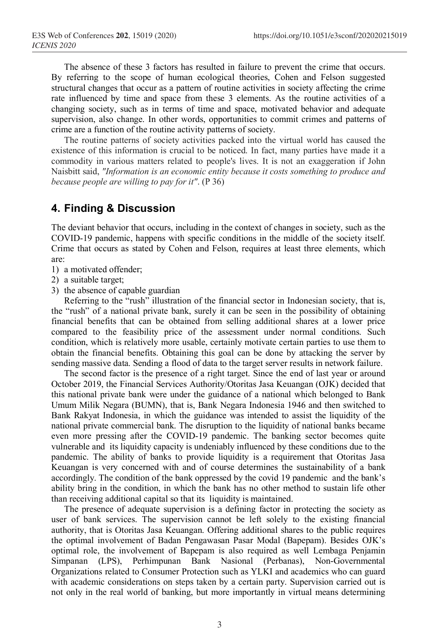The absence of these 3 factors has resulted in failure to prevent the crime that occurs. By referring to the scope of human ecological theories, Cohen and Felson suggested structural changes that occur as a pattern of routine activities in society affecting the crime rate influenced by time and space from these 3 elements. As the routine activities of a changing society, such as in terms of time and space, motivated behavior and adequate supervision, also change. In other words, opportunities to commit crimes and patterns of crime are a function of the routine activity patterns of society.

The routine patterns of society activities packed into the virtual world has caused the existence of this information is crucial to be noticed. In fact, many parties have made it a commodity in various matters related to people's lives. It is not an exaggeration if John Naisbitt said, *"Information is an economic entity because it costs something to produce and because people are willing to pay for it"*. (P 36)

## **4. Finding & Discussion**

The deviant behavior that occurs, including in the context of changes in society, such as the COVID-19 pandemic, happens with specific conditions in the middle of the society itself. Crime that occurs as stated by Cohen and Felson, requires at least three elements, which are:

- 1) a motivated offender;
- 2) a suitable target;
- 3) the absence of capable guardian

Referring to the "rush" illustration of the financial sector in Indonesian society, that is, the "rush" of a national private bank, surely it can be seen in the possibility of obtaining financial benefits that can be obtained from selling additional shares at a lower price compared to the feasibility price of the assessment under normal conditions. Such condition, which is relatively more usable, certainly motivate certain parties to use them to obtain the financial benefits. Obtaining this goal can be done by attacking the server by sending massive data. Sending a flood of data to the target server results in network failure.

The second factor is the presence of a right target. Since the end of last year or around October 2019, the Financial Services Authority/Otoritas Jasa Keuangan (OJK) decided that this national private bank were under the guidance of a national which belonged to Bank Umum Milik Negara (BUMN), that is, Bank Negara Indonesia 1946 and then switched to Bank Rakyat Indonesia, in which the guidance was intended to assist the liquidity of the national private commercial bank. The disruption to the liquidity of national banks became even more pressing after the COVID-19 pandemic. The banking sector becomes quite vulnerable and its liquidity capacity is undeniably influenced by these conditions due to the pandemic. The ability of banks to provide liquidity is a requirement that Otoritas Jasa Keuangan is very concerned with and of course determines the sustainability of a bank accordingly. The condition of the bank oppressed by the covid 19 pandemic and the bank's ability bring in the condition, in which the bank has no other method to sustain life other than receiving additional capital so that its liquidity is maintained.

The presence of adequate supervision is a defining factor in protecting the society as user of bank services. The supervision cannot be left solely to the existing financial authority, that is Otoritas Jasa Keuangan. Offering additional shares to the public requires the optimal involvement of Badan Pengawasan Pasar Modal (Bapepam). Besides OJK's optimal role, the involvement of Bapepam is also required as well Lembaga Penjamin Simpanan (LPS), Perhimpunan Bank Nasional (Perbanas), Non-Governmental Organizations related to Consumer Protection such as YLKI and academics who can guard with academic considerations on steps taken by a certain party. Supervision carried out is not only in the real world of banking, but more importantly in virtual means determining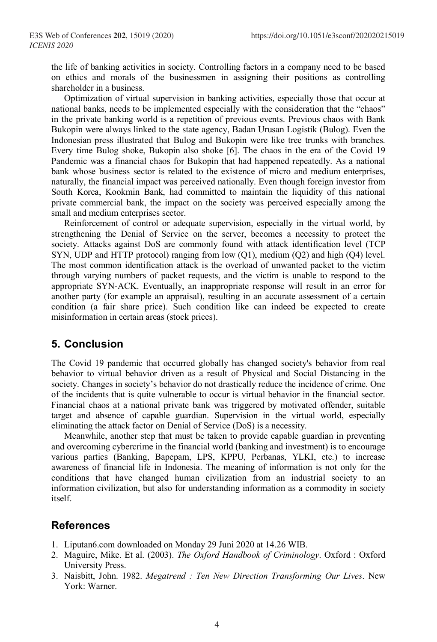the life of banking activities in society. Controlling factors in a company need to be based on ethics and morals of the businessmen in assigning their positions as controlling shareholder in a business.

Optimization of virtual supervision in banking activities, especially those that occur at national banks, needs to be implemented especially with the consideration that the "chaos" in the private banking world is a repetition of previous events. Previous chaos with Bank Bukopin were always linked to the state agency, Badan Urusan Logistik (Bulog). Even the Indonesian press illustrated that Bulog and Bukopin were like tree trunks with branches. Every time Bulog shoke, Bukopin also shoke [6]. The chaos in the era of the Covid 19 Pandemic was a financial chaos for Bukopin that had happened repeatedly. As a national bank whose business sector is related to the existence of micro and medium enterprises, naturally, the financial impact was perceived nationally. Even though foreign investor from South Korea, Kookmin Bank, had committed to maintain the liquidity of this national private commercial bank, the impact on the society was perceived especially among the small and medium enterprises sector.

Reinforcement of control or adequate supervision, especially in the virtual world, by strengthening the Denial of Service on the server, becomes a necessity to protect the society. Attacks against DoS are commonly found with attack identification level (TCP SYN, UDP and HTTP protocol) ranging from low (Q1), medium (Q2) and high (Q4) level. The most common identification attack is the overload of unwanted packet to the victim through varying numbers of packet requests, and the victim is unable to respond to the appropriate SYN-ACK. Eventually, an inappropriate response will result in an error for another party (for example an appraisal), resulting in an accurate assessment of a certain condition (a fair share price). Such condition like can indeed be expected to create misinformation in certain areas (stock prices).

# **5. Conclusion**

The Covid 19 pandemic that occurred globally has changed society's behavior from real behavior to virtual behavior driven as a result of Physical and Social Distancing in the society. Changes in society's behavior do not drastically reduce the incidence of crime. One of the incidents that is quite vulnerable to occur is virtual behavior in the financial sector. Financial chaos at a national private bank was triggered by motivated offender, suitable target and absence of capable guardian. Supervision in the virtual world, especially eliminating the attack factor on Denial of Service (DoS) is a necessity.

Meanwhile, another step that must be taken to provide capable guardian in preventing and overcoming cybercrime in the financial world (banking and investment) is to encourage various parties (Banking, Bapepam, LPS, KPPU, Perbanas, YLKI, etc.) to increase awareness of financial life in Indonesia. The meaning of information is not only for the conditions that have changed human civilization from an industrial society to an information civilization, but also for understanding information as a commodity in society itself.

#### **References**

- 1. Liputan6.com downloaded on Monday 29 Juni 2020 at 14.26 WIB.
- 2. Maguire, Mike. Et al. (2003). *The Oxford Handbook of Criminology*. Oxford : Oxford University Press.
- 3. Naisbitt, John. 1982. *Megatrend : Ten New Direction Transforming Our Lives*. New York: Warner.